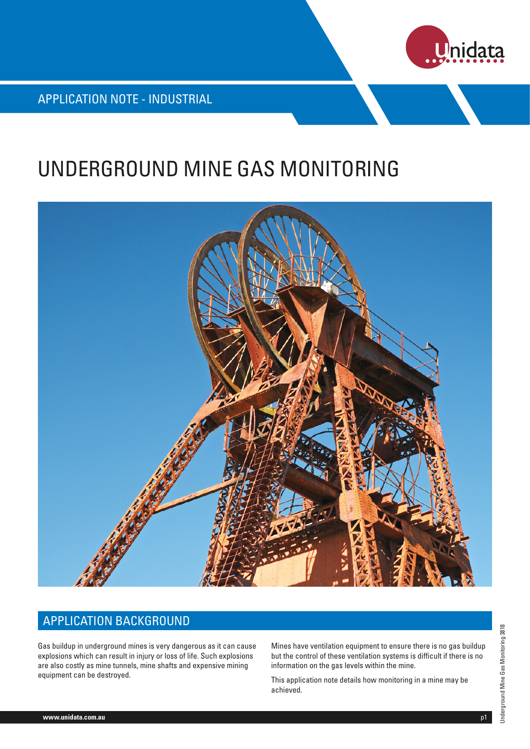

APPLICATION NOTE - INDUSTRIAL

# UNDERGROUND MINE GAS MONITORING



## APPLICATION BACKGROUND

Gas buildup in underground mines is very dangerous as it can cause explosions which can result in injury or loss of life. Such explosions are also costly as mine tunnels, mine shafts and expensive mining equipment can be destroyed.

Mines have ventilation equipment to ensure there is no gas buildup but the control of these ventilation systems is difficult if there is no information on the gas levels within the mine.

This application note details how monitoring in a mine may be achieved.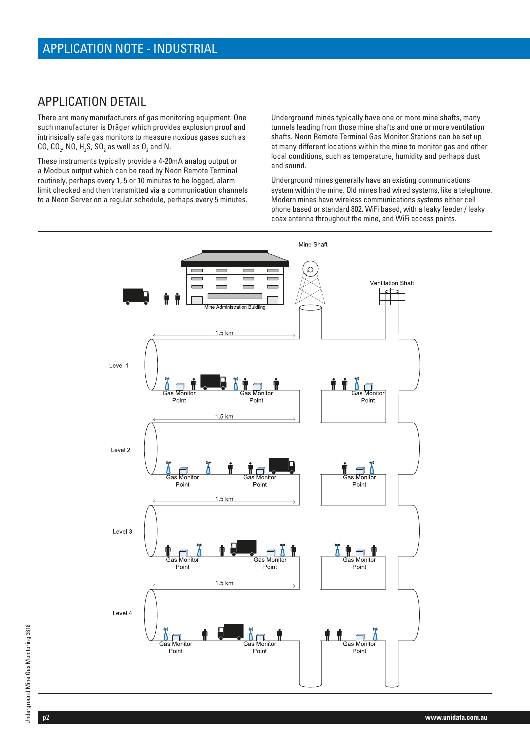### APPLICATION DETAIL

There are many manufacturers of gas monitoring equipment. One such manufacturer is Dräger which provides explosion proof and intrinsically safe gas monitors to measure noxious gases such as CO, CO<sub>2</sub>, NO, H<sub>2</sub>S, SO<sub>2</sub> as well as O<sub>2</sub> and N.

These instruments typically provide a 4-20mA analog output or a Modbus output which can be read by Neon Remote Terminal routinely, perhaps every 1, 5 or 10 minutes to be logged, alarm limit checked and then transmitted via a communication channels to a Neon Server on a regular schedule, perhaps every 5 minutes.

Underground mines typically have one or more mine shafts, many tunnels leading from those mine shafts and one or more ventilation shafts. Neon Remote Terminal Gas Monitor Stations can be set up at many different locations within the mine to monitor gas and other local conditions, such as temperature, humidity and perhaps dust and sound.

Underground mines generally have an existing communications system within the mine. Old mines had wired systems, like a telephone. Modern mines have wireless communications systems either cell phone based or standard 802. WiFi based, with a leaky feeder / leaky coax antenna throughout the mine, and WiFi access points.

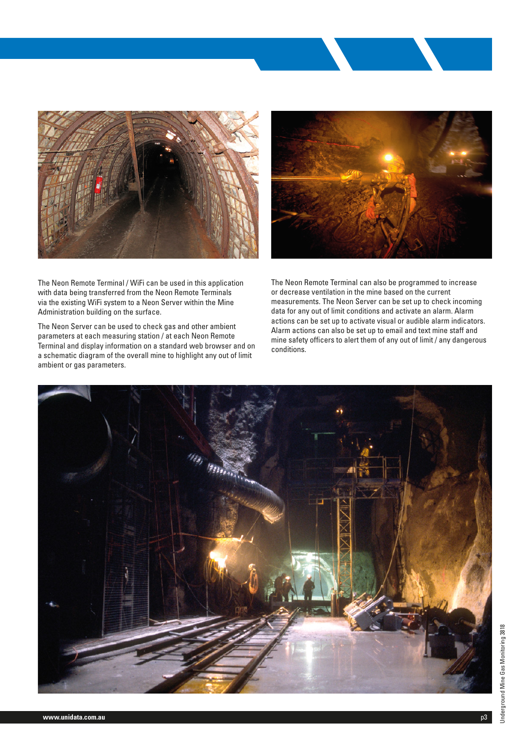

The Neon Remote Terminal / WiFi can be used in this application with data being transferred from the Neon Remote Terminals via the existing WiFi system to a Neon Server within the Mine Administration building on the surface.

The Neon Server can be used to check gas and other ambient parameters at each measuring station / at each Neon Remote Terminal and display information on a standard web browser and on a schematic diagram of the overall mine to highlight any out of limit ambient or gas parameters.



The Neon Remote Terminal can also be programmed to increase or decrease ventilation in the mine based on the current measurements. The Neon Server can be set up to check incoming data for any out of limit conditions and activate an alarm. Alarm actions can be set up to activate visual or audible alarm indicators. Alarm actions can also be set up to email and text mine staff and mine safety officers to alert them of any out of limit / any dangerous conditions.